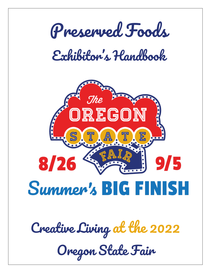

*Creative Living at the 2022*

*Oregon State Fair*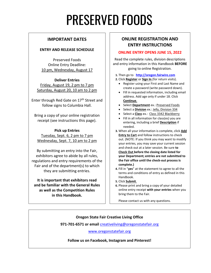# PRESERVED FOODS

#### **IMPORTANT DATES**

#### **ENTRY AND RELEASE SCHEDULE**

Preserved Foods Online Entry Deadline: 10 pm, Wednesday, August 17

**Deliver Entries** Friday, August 19, 2 pm to 7 pm Saturday, August 20, 10 am to 2 pm

Enter through Red Gate on 17<sup>th</sup> Street and follow signs to Columbia Hall.

Bring a copy of your online registration receipt (see instructions this page).

**Pick up Entries**  Tuesday, Sept. 6, 2 pm to 7 pm Wednesday, Sept. 7, 10 am to 2 pm

By submitting an entry into the Fair, exhibitors agree to abide by all rules, regulations and entry requirements of the Fair and of the department(s) to which they are submitting entries.

**It is important that exhibitors read and be familiar with the General Rules as well as the Competition Rules in this Handbook.**

#### **ONLINE REGISTRATION AND ENTRY INSTRUCTIONS**

#### **ONLINE ENTRY OPENS JUNE 15, 2022**

Read the complete rules, division descriptions and entry information in this Handbook **BEFORE** going to online Registration.

**1.** Then go to **[http://oregon.fairwire.com](http://oregon.fairwire.com/)**

**2.** Click **Register** or **Sign In** (for return visits).

- Register using your First and Last Name and create a password (write password down).
- Fill in requested information, including email address. Add age only if under 18. Click **Continue**.
- Select **Department** ex.: Preserved Foods
- Select a **Division** ex.: Jelly, Division 334
- Select a **Class** ex.: Class 3342 Blackberry
- Fill in all information for class(es) you are entering, including a brief **Description** if needed.
- **3.** When all your information is complete, click **Add Entry to Cart** and follow instructions to check out. (NOTE: If you think you may want to modify your entries, you may save your current session and check out at a later session. Be sure **to Check Out before the closing date listed for your Department; entries are not submitted to the Fair office until the check-out process is complete.)**
- **4.** Fill in "**yes**" at the statement to agree to all the terms and conditions of entry as defined in this Handbook.
- **5.** Click **Submit**.
- **6.** Please print and bring a copy of your detailed online entry receipt **with your entries** when you bring them to the Fair.

Please contact us with any questions.

#### **Oregon State Fair Creative Living Office**

**971-701-6571 or email** [creativeliving@oregonstatefair.org](mailto:creativeliving@oregonstatefair.org)

[www.oregonstatefair.org](http://www.oregonstatefair.org/)

#### **Follow us on Facebook, Instagram and Pinterest!**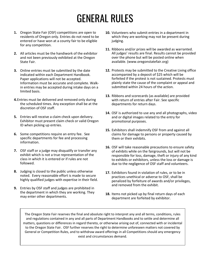## GENERAL RULES

- **1.** Oregon State Fair (OSF) competitions are open to residents of Oregon only. Entries do not need to be entered or have won at a county fair to be eligible for any competition.
- **2.** All articles must be the handiwork of the exhibitor and not been previously exhibited at the Oregon State Fair.
- **3.** Online entries must be submitted by the date indicated within each Department Handbook. Paper applications will not be accepted. Information must be accurate and complete. Walkin entries may be accepted during intake days on a limited basis.
- **4.**Entries must be delivered and removed only during the scheduled times. Any exception shall be at the discretion of OSF staff.
- **5.** Entries will receive a claim check upon delivery. Exhibitor must present claim check or valid Oregon ID when picking up entries.
- **6.** Some competitions require an entry fee. See specific departments for fee and processing information.
- **7.** OSF staff or a judge may disqualify or transfer any exhibit which is not a true representation of the class in which it is entered or if rules are not followed.
- **8.** Judging is closed to the public unless otherwise noted. Every reasonable effort is made to secure highly qualified judges with expertise in their field.
- **9.** Entries by OSF staff and judges are prohibited in the department in which they are working. They may enter other departments.
- **10.** Volunteers who submit entries in a department in which they are working may not be present during judging.
- **11.** Ribbons and/or prizes will be awarded as warranted. All judges' results are final. Results cannot be provided over the phone but will be posted online when available. (www.oregonstatefair.org)
- **12.** Protests may be submitted to the Creative Living office accompanied by a deposit of \$25 which will be forfeited if the protest is not sustained. Protests must plainly state the cause of the complaint or appeal and submitted within 24 hours of the action.
- **13.** Ribbons and scorecards (as available) are provided with return of entries after Fair. See specific departments for return days.
- **14.** OSF is authorized to use any and all photographs, video and or digital images related to the entry for promotional purposes.
- **15.** Exhibitors shall indemnify OSF from and against all claims for damage to persons or property caused by them or their exhibits.
- **16.** OSF will take reasonable precautions to ensure safety of exhibits while on the fairgrounds, but will not be responsible for loss, damage, theft or injury of any kind to exhibits or exhibitors, unless the loss or damage is due to the negligence of OSF staff and volunteers.
- **17.** Exhibitors found in violation of rules, or to be in practices unethical or adverse to OSF, shall be penalized by forfeiture of awards and/or privileges, and removed from the exhibit.
- **18.** Items not picked up by final return days of each department are forfeited by exhibitor.

The Oregon State Fair reserves the final and absolute right to interpret any and all terms, conditions, rules and regulations contained in any and all parts of Department Handbooks and to settle and determine all matters, questions or differences in regard thereto, or otherwise arising out of, connected with or incidental to the Oregon State Fair. OSF further reserves the right to determine unforeseen matters not covered by General or Competition Rules, and to withdraw award offerings in all Competitions should any emergency exist and circumstances demand.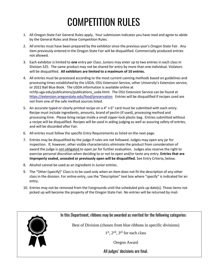## COMPETITION RULES

- 1. All Oregon State Fair General Rules apply. Your submission indicates you have read and agree to abide by the General Rules and these Competition Rules.
- 2. All entries must have been prepared by the exhibitor since the previous year's Oregon State Fair. Any item previously entered in the Oregon State Fair will be disqualified. Commercially produced entries not allowed.
- 3. Each exhibitor is limited to **one** entry per Class. Juniors may enter up to two entries in each class in Division 325. The same product may not be shared for entry by more than one individual. Violators will be disqualified. **All exhibitors are limited to a maximum of 10 entries.**
- 4. All entries must be processed according to the most current canning methods based on guidelines and processing times established by the USDA, OSU Extension Service, other University's Extension service, or 2022 Ball Blue Book. The USDA information is available online at nchfp.uga.edu/publications/publications\_usda.html. The OSU Extension Service can be found at <https://extension.oregonstate.edu/food/preservation> Entries will be disqualified if recipes used are not from one of the safe method sources listed.
- 5. An accurate typed or clearly printed recipe on a 4" x 6" card must be submitted with each entry. Recipe must include ingredients, amounts, brand of pectin (if used), processing method and processing time. Please bring recipe inside a small zipper-lock plastic bag. Entries submitted without a recipe will be disqualified. Recipes will be used in aiding judging as well as assuring safety of entries, and will be discarded after Fair.
- 6. All entries must follow the specific Entry Requirements as listed on the next page.
- 7. Entries may be disqualified by the judge if rules are not followed. Judges may open any jar for inspection. If, however, other visible characteristics eliminate the product from consideration of award the judge is not obligated to open jar for further evaluation. Judges also reserve the right to exercise personal discretion when deciding to or not to open and/or taste any entry. **Entries that are improperly sealed, unsealed or previously open will be disqualified.** See Entry Criteria, below.
- 8. Alcohol cannot be used as an ingredient in Junior entries.
- 9. The "Other (specify)" Class is to be used only when an item does not fit the description of any other class in the division. For online entry, use the "Description" text box where "specify" is indicated for an entry.
- 10. Entries may not be removed from the Fairgrounds until the scheduled pick-up date(s). Those items not picked up will become the property of the Oregon State Fair. No entries will be returned by mail.

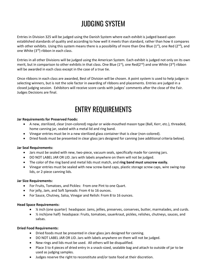### JUDGING SYSTEM

Entries in Division 325 will be judged using the Danish System where each exhibit is judged based upon established standards of quality and according to how well it meets than standard, rather than how it compares with other exhibits. Using this system means there is a possibility of more than One Blue (1<sup>st</sup>), one Red (2<sup>nd</sup>), and one White (3<sup>rd</sup>) ribbon in each class.

Entries in all other Divisions will be judged using the American System. Each exhibit is judged not only on its own merit, but in comparison to other exhibits in that class. One Blue (1<sup>st</sup>), one Red(2<sup>nd</sup>) and one White (3<sup>rd</sup>) ribbon will be awarded in each class except in the case of a true tie.

Once ribbons in each class are awarded, Best of Division will be chosen. A point system is used to help judges in selecting winners, but is not the sole factor in awarding of ribbons and placements. Entries are judged in a closed judging session. Exhibitors will receive score cards with judges' comments after the close of the Fair. Judges Decisions are final.

### **ENTRY REQUIREMENTS**

#### **Jar Requirements for Preserved Foods:**

- A new, sterilized, clear (non-colored) regular or wide-mouthed mason type (Ball, Kerr, etc.), threaded, home canning jar, sealed with a metal lid and ring band.
- Vinegar entries must be in a new sterilized glass container that is clear (non-colored).
- Dried foods must be presented in clear glass jars designed for canning (see additional criteria below).

#### **Jar Seal Requirements:**

- Jars must be sealed with new, two-piece, vacuum seals, specifically made for canning jars.
- DO NOT LABEL JAR OR LID. Jars with labels anywhere on them will not be judged.
- The color of the ring band and metal lids must match, and **ring band must unscrew easily.**
- Vinegar entries must be sealed with new screw-band caps, plastic storage screw caps, wire swing-top lids, or 2-piece canning lids.

#### **Jar Size Requirements:**

- For Fruits, Tomatoes, and Pickles: From one Pint to one Quart.
- For jelly, Jam, and Soft Spreads: From 4 to 16 ounces.
- For Sauce, Chutney, Salsa, Vinegar and Relish: From 8 to 16 ounces.

#### **Head Space Requirements:**

- ¼ inch (one quarter) headspace: Jams, jellies, preserves, conserves, butter, marmalades, and curds.
- ½ inch(one half) headspace: Fruits, tomatoes, sauerkraut, pickles, relishes, chutneys, sauces, and salsas.

#### **Dried Food Requirements:**

- Dried foods must be presented in clear glass jars designed for canning.
- DO NOT LABEL JAR OR LID. Jars with labels anywhere on them will not be judged.
- New rings and lids must be used. All others will be disqualified.
- Place 3 to 4 pieces of dried entry in a snack-sized, sealable bag and attach to outside of jar to be used as judging samples.
- Judges reserve the right to reconstitute and/or taste food at their discretion.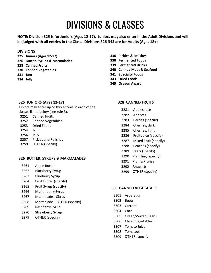### DIVISIONS & CLASSES

**NOTE: Division 325 is for Juniors (Ages 12-17). Juniors may also enter in the Adult Divisions and will be judged with all entries in the Class. Divisions 326-345 are for Adults (Ages 18+)**

#### **DIVISIONS**

- **325 Juniors (Ages 12-17)**
- **326 Butter, Syrups & Marmalades**
- **Canned Fruits**
- **Canned Vegetables**
- **Jam**
- **334 Jelly**

#### **325 JUNIORS (Ages 12-17)**

Juniors may enter up to two entries in each of the classes listed below (see rule 3).

- Canned Fruits
- Canned Vegetables
- Dried Foods
- Jam
- Jelly
- Pickles and Relishes
- OTHER (specify)

#### **BUTTER, SYRUPS & MARMALADES**

- Apple Butter
- Blackberry Syrup
- Blueberry Syrup
- Fruit Butter (specify)
- Fruit Syrup (specify)
- Marionberry Syrup
- Marmalade Citrus
- Marmalade OTHER (specify)
- Raspberry Syrup
- Strawberry Syrup
- OTHER (specify)
- **Pickles & Relishes**
- **338 Fermented Foods**
- **339 Fermented Drinks**
- **Canned Meat & Seafood**
- **341 Specialty Foods**
- **343 Dried Foods**
- **345 Oregon Award**

#### **328 CANNED FRUITS**

- Applesauce
- Apricots
- Berries (specify)
- Cherries, dark
- Cherries, light
- Fruit Juice (specify)
- Mixed Fruit (specify)
- Peaches (specify)
- Pears (specify)
- Pie filling (specify)
- Plums/Prunes
- Rhubarb
- OTHER (specify)

#### **CANNED VEGETABLES**

- Asparagus
- Beets
- Carrots
- Corn
- Green/Waxed Beans
- Mixed Vegetables
- Tomato Juice
- Tomatoes
- OTHER (specify)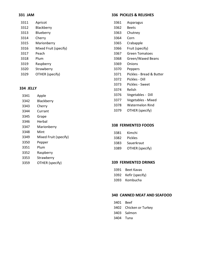#### **331 JAM**

| 3311 | Apricot               |
|------|-----------------------|
| 3312 | Blackberry            |
| 3313 | Blueberry             |
| 3314 | Cherry                |
| 3315 | Marionberry           |
| 3316 | Mixed Fruit (specify) |
| 3317 | Peach                 |
| 3318 | Plum                  |
| 3319 | Raspberry             |
| 3320 | Strawberry            |
| 3329 | OTHER (specify)       |
|      |                       |

#### **334 JELLY**

| 3341 | Apple                 |
|------|-----------------------|
| 3342 | Blackberry            |
| 3343 | Cherry                |
| 3344 | Currant               |
| 3345 | Grape                 |
| 3346 | Herbal                |
| 3347 | Marionberry           |
| 3348 | Mint                  |
| 3349 | Mixed Fruit (specify) |
| 3350 | Pepper                |
| 3351 | Plum                  |
| 3352 | Raspberry             |
| 3353 | Strawberry            |
| 3359 | OTHER (specify)       |
|      |                       |

#### **336 PICKLES & RELISHES**

- Asparagus
- Beets
- Chutney
- Corn
- Crabapple
- Fruit (specify)
- Green Tomatoes
- Green/Waxed Beans
- Onions
- Peppers
- Pickles Bread & Butter
- Pickles Dill
- Pickles Sweet
- Relish
- Vegetables Dill
- Vegetables Mixed
- Watermelon Rind
- OTHER (specify)

#### **338 FERMENTED FOODS**

| 3381 | Kimchi |
|------|--------|
| ---- | .      |

- Pickles
- Sauerkraut
- OTHER (specify)

#### **339 FERMENTED DRINKS**

- Beet Kavas
- Kefir (specify)
- Kombucha

#### **340 CANNED MEAT AND SEAFOOD**

- Beef
- Chicken or Turkey
- Salmon
- Tuna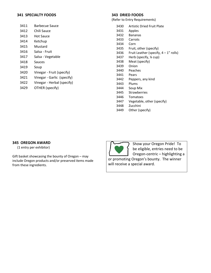#### **341 SPECIALTY FOODS**

| <b>Barbecue Sauce</b><br>3411 |
|-------------------------------|
|                               |

- 3412 Chili Sauce
- 3413 Hot Sauce
- 3414 Ketchup
- 3415 Mustard
- 3416 Salsa Fruit
- 3417 Salsa Vegetable
- 3418 Sauces
- 3419 Soup
- 3420 Vinegar Fruit (specify)
- 3421 Vinegar Garlic (specify)
- 3422 Vinegar Herbal (specify)
- 3429 OTHER (specify)

#### **343 DRIED FOODS**

(Refer to Entry Requirements)

- 3430 Artistic Dried Fruit Plate
- 3431 Apples
- 3432 Bananas
- 3433 Carrots
- 3434 Corn
- 3435 Fruit, other (specify)
- 3436 Fruit Leather (specify,  $4 1$ " rolls)
- 3437 Herb (specify, ¼ cup)
- 3438 Meat (specify)
- 3439 Onion
- 3440 Peaches
- 3441 Pears
- 3442 Peppers, any kind
- 3443 Plums
- 3444 Soup Mix
- 3445 Strawberries
- 3446 Tomatoes
- 3447 Vegetable, other (specify)
- 3448 Zucchini
- 3449 Other (specify)

#### **345 OREGON AWARD**

(1 entry per exhibitor)

Gift basket showcasing the bounty of Oregon – may include Oregon products and/or preserved items made from these ingredients.



Show your Oregon Pride! To be eligible, entries need to be Oregon-centric – highlighting a

or promoting Oregon's bounty. The winner will receive a special award.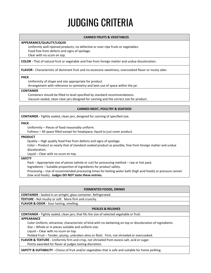### JUDGING CRITERIA

#### **CANNED FRUITS & VEGETABLES**

#### **APPEARANCE/QUALITY/LIQUID**

Uniformly well-ripened products; no defective or over-ripe fruits or vegetables. Food free from defects and signs of spoilage. Clear with no scum on top.

**COLOR -** That of natural fruit or vegetable and free from foreign matter and undue discoloration.

**FLAVOR -** Characteristic of dominant fruit and no excessive sweetness, overcooked flavor or musty odor.

#### **PACK**

Uniformity of shape and size appropriate for product.

Arrangement with reference to symmetry and best use of space within the jar.

#### **CONTAINER**

Containers should be filled to level specified by standard recommendations.

Vacuum sealed, clean clear jars designed for canning and the correct size for product.

#### **CANNED MEAT, POULTRY & SEAFOOD**

**CONTAINER -** Tightly sealed, clean jars, designed for canning of specified size.

#### **PACK**

Uniformity – Pieces of food reasonably uniform.

Fullness – All space filled except for headspace; liquid to just cover product.

#### **PRODUCT**

Quality – High quality food free from defects and signs of spoilage.

Color – Product as nearly that of standard cooked product as possible, free from foreign matter and undue discoloration.

Liquid – Clear with no scum on top.

#### **SAFETY**

Pack – Appropriate size of pieces (whole or cut) for processing method – raw or hot pack.

Ingredients – Suitable proportion of ingredients for product safety.

Processing – Use of recommended processing times for boiling water bath (high acid foods) or pressure canner (low acid foods). **Judges DO NOT taste these entries.**

#### **FERMENTED FOODS, DRINKS**

**CONTAINER -** Sealed in an airtight, glass container. Refrigerated.

**TEXTURE -** Not mushy or soft. More firm and crunchy.

#### **FLAVOR & ODOR -** Sour tasting, smelling.

#### **PICKLES & RELISHES**

**CONTAINER -** Tightly sealed, clean jars, that fits the size of selected vegetable or fruit.

#### **APPEARANCE**

Color-Uniform, attractive, characteristic of kind with no darkening on top or discoloration of ingredients.

Size – Whole or in pieces suitable and uniform size.

Liquid – Clear with no scum on top.

Pickled Fruit – Tender, plump, unbroken skins or flesh. Firm, not shriveled or overcooked.

**FLAVOR & TEXTURE -** Uniformly firm and crisp, not shriveled from excess salt, acid or sugar. Points awarded for flavor at judges tasting discretion.

**SAFETY & SUITABILITY -** Choice of fruit and/or vegetables that is safe and suitable for home pickling.